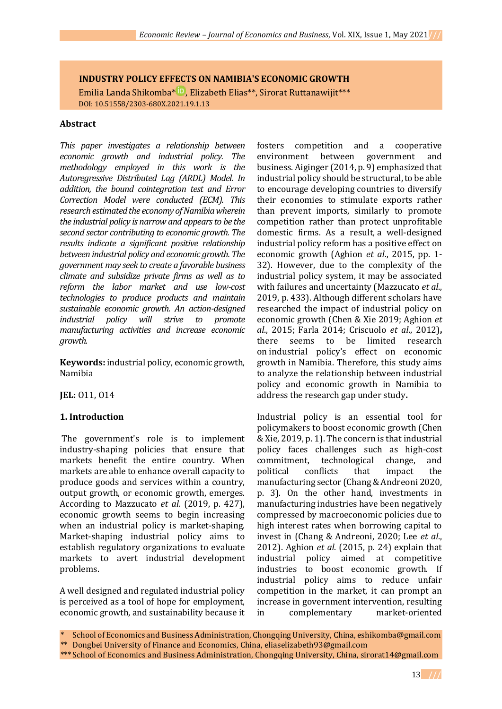# **INDUSTRY POLICY EFFECTS ON NAMIBIA'S ECONOMIC GROWTH**

Emilia Landa Shikomba<sup>[\\*](https://orcid.org/0000-0001-8361-1330) D</sup>, Elizabeth Elias<sup>\*\*</sup>, Sirorat Ruttanawijit\*\*\* DOI: 10.51558/2303-680X.2021.19.1.13

#### **Abstract**

*This paper investigates a relationship between economic growth and industrial policy. The methodology employed in this work is the Autoregressive Distributed Lag (ARDL) Model. In addition, the bound cointegration test and Error Correction Model were conducted (ECM). This research estimated the economy of Namibia wherein the industrial policy is narrow and appears to be the second sector contributing to economic growth. The results indicate a significant positive relationship between industrial policy and economic growth. The government may seek to create a favorable business climate and subsidize private firms as well as to reform the labor market and use low-cost technologies to produce products and maintain sustainable economic growth. An action-designed industrial policy will strive to promote manufacturing activities and increase economic growth.* 

**Keywords:** industrial policy, economic growth, Namibia

**JEL:** O11, O14

### **1. Introduction**

The government's role is to implement industry-shaping policies that ensure that markets benefit the entire country. When markets are able to enhance overall capacity to produce goods and services within a country, output growth, or economic growth, emerges. According to Mazzucato *et al*. (2019, p. 427), economic growth seems to begin increasing when an industrial policy is market-shaping. Market-shaping industrial policy aims to establish regulatory organizations to evaluate markets to avert industrial development problems.

A well designed and regulated industrial policy is perceived as a tool of hope for employment, economic growth, and sustainability because it

fosters competition and a cooperative environment between government and business. Aiginger (2014, p. 9) emphasized that industrial policy should be structural, to be able to encourage developing countries to diversify their economies to stimulate exports rather than prevent imports, similarly to promote competition rather than protect unprofitable domestic firms. As a result, a well-designed industrial policy reform has a positive effect on economic growth (Aghion *et al*., 2015, pp. 1- 32). However, due to the complexity of the industrial policy system, it may be associated with failures and uncertainty (Mazzucato *et al*., 2019, p. 433). Although different scholars have researched the impact of industrial policy on economic growth (Chen & Xie 2019; Aghion *et al*., 2015; Farla 2014; Criscuolo *et al*., 2012)**,**  there seems to be limited research on industrial policy's effect on economic growth in Namibia. Therefore, this study aims to analyze the relationship between industrial policy and economic growth in Namibia to address the research gap under study**.**

Industrial policy is an essential tool for policymakers to boost economic growth (Chen & Xie, 2019, p. 1). The concern is that industrial policy faces challenges such as high-cost commitment, technological change, and political conflicts that impact the manufacturing sector (Chang & Andreoni 2020, p. 3). On the other hand, investments in manufacturing industries have been negatively compressed by macroeconomic policies due to high interest rates when borrowing capital to invest in (Chang & Andreoni, 2020; Lee *et al*., 2012). Aghion *et al*. (2015, p. 24) explain that industrial policy aimed at competitive industries to boost economic growth. If industrial policy aims to reduce unfair competition in the market, it can prompt an increase in government intervention, resulting in complementary market-oriented

School of Economics and Business Administration, Chongqing University, China, eshikomba@gmail.com

<sup>\*\*</sup> Dongbei University of Finance and Economics, China, eliaselizabeth93@gmail.com

<sup>\*\*\*</sup> School of Economics and Business Administration, Chongqing University, China, sirorat14@gmail.com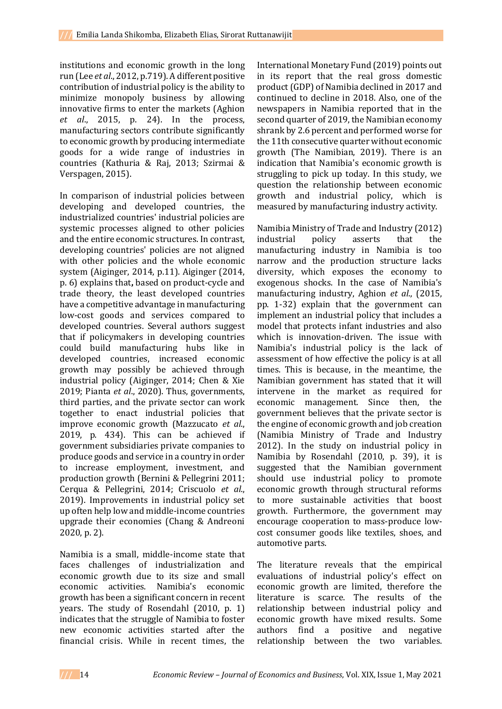institutions and economic growth in the long run (Lee *et al*., 2012, p.719). A different positive contribution of industrial policy is the ability to minimize monopoly business by allowing innovative firms to enter the markets (Aghion *et al*., 2015, p. 24). In the process, manufacturing sectors contribute significantly to economic growth by producing intermediate goods for a wide range of industries in countries (Kathuria & Raj, 2013; Szirmai & Verspagen, 2015).

In comparison of industrial policies between developing and developed countries, the industrialized countries' industrial policies are systemic processes aligned to other policies and the entire economic structures. In contrast, developing countries' policies are not aligned with other policies and the whole economic system (Aiginger, 2014, p.11). Aiginger (2014, p. 6) explains that**,** based on product-cycle and trade theory, the least developed countries have a competitive advantage in manufacturing low-cost goods and services compared to developed countries. Several authors suggest that if policymakers in developing countries could build manufacturing hubs like in developed countries, increased economic growth may possibly be achieved through industrial policy (Aiginger, 2014; Chen & Xie 2019; Pianta *et al*., 2020). Thus, governments, third parties, and the private sector can work together to enact industrial policies that improve economic growth (Mazzucato *et al*., 2019, p. 434). This can be achieved if government subsidiaries private companies to produce goods and service in a country in order to increase employment, investment, and production growth (Bernini & Pellegrini 2011; Cerqua & Pellegrini, 2014; Criscuolo *et al*., 2019). Improvements in industrial policy set up often help low and middle-income countries upgrade their economies (Chang & Andreoni 2020, p. 2).

Namibia is a small, middle-income state that faces challenges of industrialization and economic growth due to its size and small economic activities. Namibia's economic growth has been a significant concern in recent years. The study of Rosendahl (2010, p. 1) indicates that the struggle of Namibia to foster new economic activities started after the financial crisis. While in recent times, the

International Monetary Fund (2019) points out in its report that the real gross domestic product(GDP) of Namibia declined in 2017 and continued to decline in 2018. Also, one of the newspapers in Namibia reported that in the second quarter of 2019, the Namibian economy shrank by 2.6 percent and performed worse for the 11th consecutive quarter without economic growth (The Namibian, 2019). There is an indication that Namibia's economic growth is struggling to pick up today. In this study, we question the relationship between economic growth and industrial policy, which is measured by manufacturing industry activity.

Namibia Ministry of Trade and Industry (2012) industrial policy asserts that the manufacturing industry in Namibia is too narrow and the production structure lacks diversity, which exposes the economy to exogenous shocks. In the case of Namibia's manufacturing industry, Aghion *et al*., (2015, pp. 1-32) explain that the government can implement an industrial policy that includes a model that protects infant industries and also which is innovation-driven. The issue with Namibia's industrial policy is the lack of assessment of how effective the policy is at all times. This is because, in the meantime, the Namibian government has stated that it will intervene in the market as required for economic management. Since then, the government believes that the private sector is the engine of economic growth and job creation (Namibia Ministry of Trade and Industry 2012). In the study on industrial policy in Namibia by Rosendahl (2010, p. 39), it is suggested that the Namibian government should use industrial policy to promote economic growth through structural reforms to more sustainable activities that boost growth. Furthermore, the government may encourage cooperation to mass-produce lowcost consumer goods like textiles, shoes, and automotive parts.

The literature reveals that the empirical evaluations of industrial policy's effect on economic growth are limited, therefore the literature is scarce. The results of the relationship between industrial policy and economic growth have mixed results. Some authors find a positive and negative relationship between the two variables.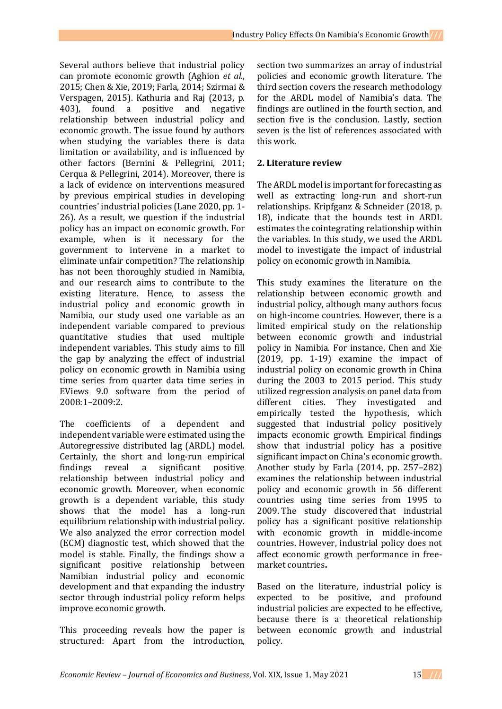Several authors believe that industrial policy can promote economic growth (Aghion *et al*., 2015; Chen & Xie, 2019; Farla, 2014; Szirmai & Verspagen, 2015). Kathuria and Raj (2013, p. 403), found a positive and negative relationship between industrial policy and economic growth. The issue found by authors when studying the variables there is data limitation or availability, and is influenced by other factors (Bernini & Pellegrini, 2011; Cerqua & Pellegrini, 2014). Moreover, there is a lack of evidence on interventions measured by previous empirical studies in developing countries' industrial policies (Lane 2020, pp. 1- 26). As a result, we question if the industrial policy has an impact on economic growth. For example, when is it necessary for the government to intervene in a market to eliminate unfair competition? The relationship has not been thoroughly studied in Namibia, and our research aims to contribute to the existing literature. Hence, to assess the industrial policy and economic growth in Namibia, our study used one variable as an independent variable compared to previous quantitative studies that used multiple independent variables. This study aims to fill the gap by analyzing the effect of industrial policy on economic growth in Namibia using time series from quarter data time series in EViews 9.0 software from the period of 2008:1–2009:2.

The coefficients of a dependent and independent variable were estimated using the Autoregressive distributed lag (ARDL) model. Certainly, the short and long-run empirical findings reveal a significant positive relationship between industrial policy and economic growth. Moreover, when economic growth is a dependent variable, this study shows that the model has a long-run equilibrium relationship with industrial policy. We also analyzed the error correction model (ECM) diagnostic test, which showed that the model is stable. Finally, the findings show a significant positive relationship between Namibian industrial policy and economic development and that expanding the industry sector through industrial policy reform helps improve economic growth.

This proceeding reveals how the paper is structured: Apart from the introduction,

section two summarizes an array of industrial policies and economic growth literature. The third section covers the research methodology for the ARDL model of Namibia's data. The findings are outlined in the fourth section, and section five is the conclusion. Lastly, section seven is the list of references associated with this work.

# **2. Literature review**

The ARDL model is important for forecasting as well as extracting long-run and short-run relationships. Kripfganz & Schneider (2018, p. 18), indicate that the bounds test in ARDL estimates the cointegrating relationship within the variables. In this study, we used the ARDL model to investigate the impact of industrial policy on economic growth in Namibia.

This study examines the literature on the relationship between economic growth and industrial policy, although many authors focus on high-income countries. However, there is a limited empirical study on the relationship between economic growth and industrial policy in Namibia. For instance, Chen and Xie (2019, pp. 1-19) examine the impact of industrial policy on economic growth in China during the 2003 to 2015 period. This study utilized regression analysis on panel data from different cities. They investigated and empirically tested the hypothesis, which suggested that industrial policy positively impacts economic growth. Empirical findings show that industrial policy has a positive significant impact on China's economic growth. Another study by Farla (2014, pp. 257–282) examines the relationship between industrial policy and economic growth in 56 different countries using time series from 1995 to 2009. The study discovered that industrial policy has a significant positive relationship with economic growth in middle-income countries. However, industrial policy does not affect economic growth performance in freemarket countries**.** 

Based on the literature, industrial policy is expected to be positive, and profound industrial policies are expected to be effective, because there is a theoretical relationship between economic growth and industrial policy.

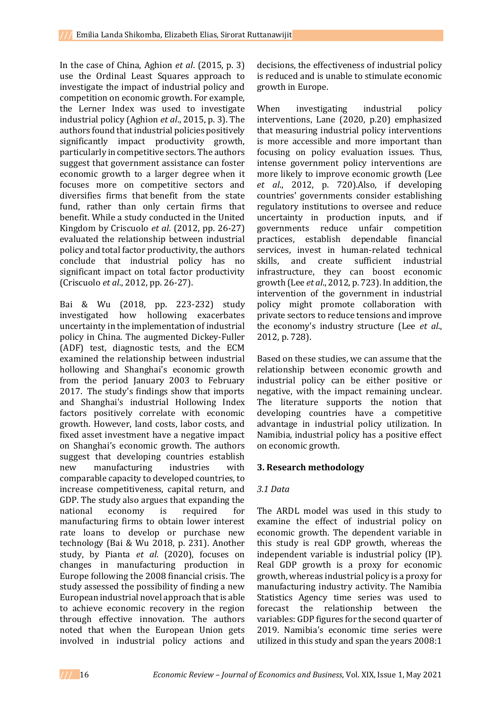In the case of China, Aghion *et al*. (2015, p. 3) use the Ordinal Least Squares approach to investigate the impact of industrial policy and competition on economic growth. For example, the Lerner Index was used to investigate industrial policy (Aghion *et al*., 2015, p. 3). The authors found that industrial policies positively significantly impact productivity growth, particularly in competitive sectors. The authors suggest that government assistance can foster economic growth to a larger degree when it focuses more on competitive sectors and diversifies firms that benefit from the state fund, rather than only certain firms that benefit. While a study conducted in the United Kingdom by Criscuolo *et al*. (2012, pp. 26-27) evaluated the relationship between industrial policy and total factor productivity, the authors conclude that industrial policy has no significant impact on total factor productivity (Criscuolo *et al*., 2012, pp. 26-27).

Bai & Wu (2018, pp. 223-232) study investigated how hollowing exacerbates uncertainty in the implementation of industrial policy in China. The augmented Dickey-Fuller (ADF) test, diagnostic tests, and the ECM examined the relationship between industrial hollowing and Shanghai's economic growth from the period January 2003 to February 2017. The study's findings show that imports and Shanghai's industrial Hollowing Index factors positively correlate with economic growth. However, land costs, labor costs, and fixed asset investment have a negative impact on Shanghai's economic growth. The authors suggest that developing countries establish new manufacturing industries with comparable capacity to developed countries, to increase competitiveness, capital return, and GDP. The study also argues that expanding the national economy is required for manufacturing firms to obtain lower interest rate loans to develop or purchase new technology (Bai & Wu 2018, p. 231). Another study, by Pianta *et al*. (2020), focuses on changes in manufacturing production in Europe following the 2008 financial crisis. The study assessed the possibility of finding a new European industrial novel approach that is able to achieve economic recovery in the region through effective innovation. The authors noted that when the European Union gets involved in industrial policy actions and

decisions, the effectiveness of industrial policy is reduced and is unable to stimulate economic growth in Europe.

When investigating industrial policy interventions, Lane (2020, p.20) emphasized that measuring industrial policy interventions is more accessible and more important than focusing on policy evaluation issues. Thus, intense government policy interventions are more likely to improve economic growth (Lee *et al*., 2012, p. 720).Also, if developing countries' governments consider establishing regulatory institutions to oversee and reduce uncertainty in production inputs, and if governments reduce unfair competition practices, establish dependable financial services, invest in human-related technical skills, and create sufficient industrial infrastructure, they can boost economic growth (Lee *et al.*, 2012, p. 723). In addition, the intervention of the government in industrial policy might promote collaboration with private sectors to reduce tensions and improve the economy's industry structure (Lee *et al*., 2012, p. 728).

Based on these studies, we can assume that the relationship between economic growth and industrial policy can be either positive or negative, with the impact remaining unclear. The literature supports the notion that developing countries have a competitive advantage in industrial policy utilization. In Namibia, industrial policy has a positive effect on economic growth.

# **3. Research methodology**

### *3.1 Data*

The ARDL model was used in this study to examine the effect of industrial policy on economic growth. The dependent variable in this study is real GDP growth, whereas the independent variable is industrial policy (IP). Real GDP growth is a proxy for economic growth, whereas industrial policy is a proxy for manufacturing industry activity. The Namibia Statistics Agency time series was used to forecast the relationship between the variables: GDP figures for the second quarter of 2019. Namibia's economic time series were utilized in this study and span the years 2008:1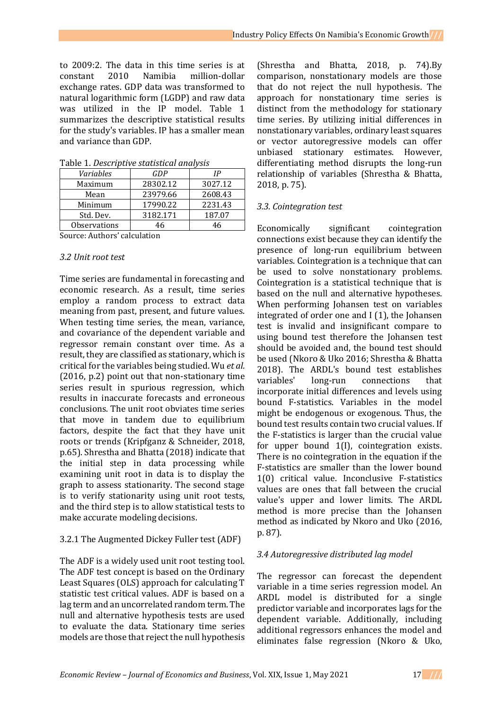to 2009:2. The data in this time series is at constant 2010 Namibia million-dollar exchange rates. GDP data was transformed to natural logarithmic form (LGDP) and raw data was utilized in the IP model. Table 1 summarizes the descriptive statistical results for the study's variables. IP has a smaller mean and variance than GDP.

| rapic 1. Descriptive statistical analysis |          |         |  |
|-------------------------------------------|----------|---------|--|
| Variables                                 | GDP      | IP      |  |
| Maximum                                   | 28302.12 | 3027.12 |  |
| Mean                                      | 23979.66 | 2608.43 |  |
| Minimum                                   | 17990.22 | 2231.43 |  |
| Std. Dev.                                 | 3182.171 | 187.07  |  |
| Observations                              | 46       | 46      |  |

Table 1. *Descriptive statistical analysis*

Source: Authors' calculation

#### *3.2 Unit root test*

Time series are fundamental in forecasting and economic research. As a result, time series employ a random process to extract data meaning from past, present, and future values. When testing time series, the mean, variance, and covariance of the dependent variable and regressor remain constant over time. As a result, they are classified as stationary, which is critical for the variables being studied. Wu *et al.* (2016, p.2) point out that non-stationary time series result in spurious regression, which results in inaccurate forecasts and erroneous conclusions. The unit root obviates time series that move in tandem due to equilibrium factors, despite the fact that they have unit roots or trends (Kripfganz & Schneider, 2018, p.65). Shrestha and Bhatta (2018) indicate that the initial step in data processing while examining unit root in data is to display the graph to assess stationarity. The second stage is to verify stationarity using unit root tests, and the third step is to allow statistical tests to make accurate modeling decisions.

### 3.2.1 The Augmented Dickey Fuller test (ADF)

The ADF is a widely used unit root testing tool. The ADF test concept is based on the Ordinary Least Squares (OLS) approach for calculating T statistic test critical values. ADF is based on a lag term and an uncorrelated random term. The null and alternative hypothesis tests are used to evaluate the data. Stationary time series models are those that reject the null hypothesis

(Shrestha and Bhatta, 2018, p. 74).By comparison, nonstationary models are those that do not reject the null hypothesis. The approach for nonstationary time series is distinct from the methodology for stationary time series. By utilizing initial differences in nonstationary variables, ordinary least squares or vector autoregressive models can offer unbiased stationary estimates. However, differentiating method disrupts the long-run relationship of variables (Shrestha & Bhatta, 2018, p. 75).

#### *3.3. Cointegration test*

Economically significant cointegration connections exist because they can identify the presence of long-run equilibrium between variables. Cointegration is a technique that can be used to solve nonstationary problems. Cointegration is a statistical technique that is based on the null and alternative hypotheses. When performing Johansen test on variables integrated of order one and I (1), the Johansen test is invalid and insignificant compare to using bound test therefore the Johansen test should be avoided and, the bound test should be used (Nkoro & Uko 2016; Shrestha & Bhatta 2018). The ARDL's bound test establishes variables' long-run connections that incorporate initial differences and levels using bound F-statistics. Variables in the model might be endogenous or exogenous. Thus, the bound test results contain two crucial values. If the F-statistics is larger than the crucial value for upper bound 1(I), cointegration exists. There is no cointegration in the equation if the F-statistics are smaller than the lower bound 1(0) critical value. Inconclusive F-statistics values are ones that fall between the crucial value's upper and lower limits. The ARDL method is more precise than the Johansen method as indicated by Nkoro and Uko (2016, p. 87).

### *3.4 Autoregressive distributed lag model*

The regressor can forecast the dependent variable in a time series regression model. An ARDL model is distributed for a single predictor variable and incorporates lags for the dependent variable. Additionally, including additional regressors enhances the model and eliminates false regression (Nkoro & Uko,

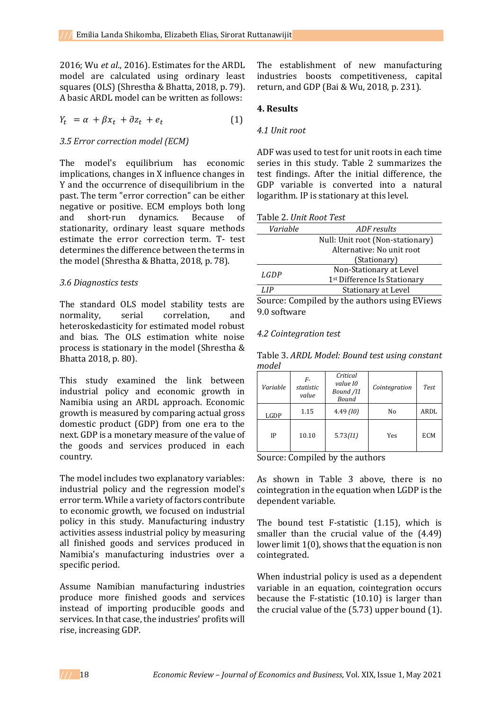2016; Wu *et al*., 2016). Estimates for the ARDL model are calculated using ordinary least squares (OLS) (Shrestha & Bhatta, 2018, p. 79). A basic ARDL model can be written as follows:

 $Y_t = \alpha + \beta x_t + \partial z_t + e_t$ (1)

### *3.5 Error correction model (ECM)*

The model's equilibrium has economic implications, changes in X influence changes in Y and the occurrence of disequilibrium in the past. The term "error correction" can be either negative or positive. ECM employs both long and short-run dynamics. Because of stationarity, ordinary least square methods estimate the error correction term. T- test determines the difference between the terms in the model (Shrestha & Bhatta, 2018, p. 78).

### *3.6 Diagnostics tests*

The standard OLS model stability tests are normality, serial correlation, and heteroskedasticity for estimated model robust and bias. The OLS estimation white noise process is stationary in the model (Shrestha & Bhatta 2018, p. 80).

This study examined the link between industrial policy and economic growth in Namibia using an ARDL approach. Economic growth is measured by comparing actual gross domestic product (GDP) from one era to the next. GDP is a monetary measure of the value of the goods and services produced in each country.

The model includes two explanatory variables: industrial policy and the regression model's error term. While a variety of factors contribute to economic growth, we focused on industrial policy in this study. Manufacturing industry activities assess industrial policy by measuring all finished goods and services produced in Namibia's manufacturing industries over a specific period.

Assume Namibian manufacturing industries produce more finished goods and services instead of importing producible goods and services. In that case, the industries' profits will rise, increasing GDP.

The establishment of new manufacturing industries boosts competitiveness, capital return, and GDP (Bai & Wu, 2018, p. 231).

### **4. Results**

### *4.1 Unit root*

ADF was used to test for unit roots in each time series in this study. Table 2 summarizes the test findings. After the initial difference, the GDP variable is converted into a natural logarithm. IP is stationary at this level.

| Variable                                   | ADF results                                             |
|--------------------------------------------|---------------------------------------------------------|
|                                            | Null: Unit root (Non-stationary)                        |
|                                            | Alternative: No unit root                               |
|                                            | (Stationary)                                            |
| LGDP                                       | Non-Stationary at Level                                 |
|                                            | 1 <sup>st</sup> Difference Is Stationary                |
| LIP.                                       | <b>Stationary at Level</b>                              |
| $\mathbf{C}$ . The same state $\mathbf{C}$ | $\alpha$ , and the latter state of $\alpha$ is $\alpha$ |

Source: Compiled by the authors using EViews 9.0 software

#### *4.2 Cointegration test*

Table 3. *ARDL Model: Bound test using constant model*

| Variable | F-<br>statistic<br>value | Critical<br>value 10<br>Bound /11<br>Bound | Cointegration | Test       |
|----------|--------------------------|--------------------------------------------|---------------|------------|
| LGDP     | 1.15                     | 4.49(10)                                   | No            | ARDL       |
| IP       | 10.10                    | 5.73(11)                                   | Yes           | <b>ECM</b> |

Source: Compiled by the authors

As shown in Table 3 above, there is no cointegration in the equation when LGDP is the dependent variable.

The bound test F-statistic (1.15), which is smaller than the crucial value of the (4.49) lower limit 1(0), shows that the equation is non cointegrated.

When industrial policy is used as a dependent variable in an equation, cointegration occurs because the F-statistic (10.10) is larger than the crucial value of the (5.73) upper bound (1).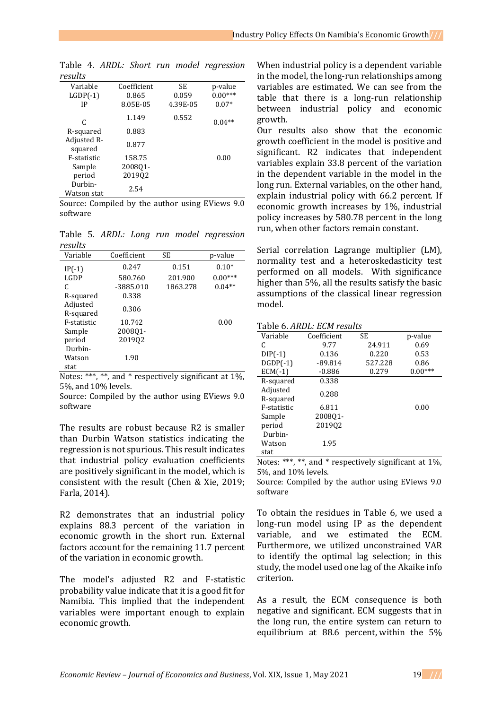| Variable               | Coefficient | SE       | p-value   |
|------------------------|-------------|----------|-----------|
| $LGDP(-1)$             | 0.865       | 0.059    | $0.00***$ |
| IP                     | 8.05E-05    | 4.39E-05 | $0.07*$   |
| C                      | 1.149       | 0.552    | $0.04**$  |
| R-squared              | 0.883       |          |           |
| Adjusted R-<br>squared | 0.877       |          |           |
| F-statistic            | 158.75      |          | 0.00      |
| Sample                 | 2008Q1-     |          |           |
| period                 | 201902      |          |           |
| Durbin-<br>Watson stat | 2.54        |          |           |

Table 4. *ARDL: Short run model regression results* 

Source: Compiled by the author using EViews 9.0 software

Table 5. *ARDL: Long run model regression results*

| , שומט ו              |             |          |           |
|-----------------------|-------------|----------|-----------|
| Variable              | Coefficient | SE       | p-value   |
| $IP(-1)$              | 0.247       | 0.151    | $0.10*$   |
| LGDP                  | 580.760     | 201.900  | $0.00***$ |
| C                     | $-3885.010$ | 1863.278 | $0.04**$  |
| R-squared             | 0.338       |          |           |
| Adjusted<br>R-squared | 0.306       |          |           |
| F-statistic           | 10.742      |          | 0.00      |
| Sample                | 200801-     |          |           |
| period                | 201902      |          |           |
| Durbin-               |             |          |           |
| Watson                | 1.90        |          |           |
| stat                  |             |          |           |

Notes: \*\*\*, \*\*, and \* respectively significant at 1%, 5%, and 10% levels.

Source: Compiled by the author using EViews 9.0 software

The results are robust because R2 is smaller than Durbin Watson statistics indicating the regression is not spurious. This result indicates that industrial policy evaluation coefficients are positively significant in the model, which is consistent with the result (Chen & Xie, 2019; Farla, 2014).

R2 demonstrates that an industrial policy explains 88.3 percent of the variation in economic growth in the short run. External factors account for the remaining 11.7 percent of the variation in economic growth.

The model's adjusted R2 and F-statistic probability value indicate that it is a good fit for Namibia. This implied that the independent variables were important enough to explain economic growth.

When industrial policy is a dependent variable in the model, the long-run relationships among variables are estimated. We can see from the table that there is a long-run relationship between industrial policy and economic growth.

Our results also show that the economic growth coefficient in the model is positive and significant. R2 indicates that independent variables explain 33.8 percent of the variation in the dependent variable in the model in the long run. External variables, on the other hand, explain industrial policy with 66.2 percent. If economic growth increases by 1%, industrial policy increases by 580.78 percent in the long run, when other factors remain constant.

Serial correlation Lagrange multiplier (LM), normality test and a heteroskedasticity test performed on all models. With significance higher than 5%, all the results satisfy the basic assumptions of the classical linear regression model.

Table 6. *ARDL: ECM results* 

| Variable    | Coefficient | SE      | p-value   |
|-------------|-------------|---------|-----------|
| C           | 9.77        | 24.911  | 0.69      |
| $DIP(-1)$   | 0.136       | 0.220   | 0.53      |
| $DGDP(-1)$  | $-89.814$   | 527.228 | 0.86      |
| $ECM(-1)$   | $-0.886$    | 0.279   | $0.00***$ |
| R-squared   | 0.338       |         |           |
| Adjusted    | 0.288       |         |           |
| R-squared   |             |         |           |
| F-statistic | 6.811       |         | 0.00      |
| Sample      | 2008Q1-     |         |           |
| period      | 201902      |         |           |
| Durbin-     |             |         |           |
| Watson      | 1.95        |         |           |
| stat        |             |         |           |

Notes: \*\*\*, \*\*, and \* respectively significant at 1%, 5%, and 10% levels.

Source: Compiled by the author using EViews 9.0 software

To obtain the residues in Table 6, we used a long-run model using IP as the dependent variable, and we estimated the ECM. Furthermore, we utilized unconstrained VAR to identify the optimal lag selection; in this study, the model used one lag of the Akaike info criterion.

As a result, the ECM consequence is both negative and significant. ECM suggests that in the long run, the entire system can return to equilibrium at 88.6 percent, within the 5%

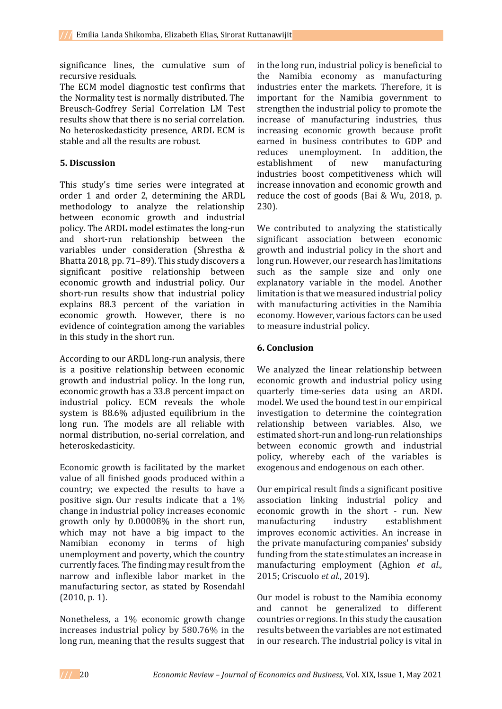significance lines, the cumulative sum of recursive residuals.

The ECM model diagnostic test confirms that the Normality test is normally distributed. The Breusch-Godfrey Serial Correlation LM Test results show that there is no serial correlation. No heteroskedasticity presence, ARDL ECM is stable and all the results are robust.

# **5. Discussion**

This study's time series were integrated at order 1 and order 2, determining the ARDL methodology to analyze the relationship between economic growth and industrial policy. The ARDL model estimates the long-run and short-run relationship between the variables under consideration (Shrestha & Bhatta 2018, pp. 71–89). This study discovers a significant positive relationship between economic growth and industrial policy. Our short-run results show that industrial policy explains 88.3 percent of the variation in economic growth. However, there is no evidence of cointegration among the variables in this study in the short run.

According to our ARDL long-run analysis, there is a positive relationship between economic growth and industrial policy. In the long run, economic growth has a 33.8 percent impact on industrial policy. ECM reveals the whole system is 88.6% adjusted equilibrium in the long run. The models are all reliable with normal distribution, no-serial correlation, and heteroskedasticity.

Economic growth is facilitated by the market value of all finished goods produced within a country; we expected the results to have a positive sign. Our results indicate that a 1% change in industrial policy increases economic growth only by 0.00008% in the short run, which may not have a big impact to the Namibian economy in terms of high unemployment and poverty, which the country currently faces. The finding may result from the narrow and inflexible labor market in the manufacturing sector, as stated by Rosendahl (2010, p. 1).

Nonetheless, a 1% economic growth change increases industrial policy by 580.76% in the long run, meaning that the results suggest that in the long run, industrial policy is beneficial to the Namibia economy as manufacturing industries enter the markets. Therefore, it is important for the Namibia government to strengthen the industrial policy to promote the increase of manufacturing industries, thus increasing economic growth because profit earned in business contributes to GDP and reduces unemployment. In addition, the establishment of new manufacturing industries boost competitiveness which will increase innovation and economic growth and reduce the cost of goods (Bai & Wu, 2018, p. 230).

We contributed to analyzing the statistically significant association between economic growth and industrial policy in the short and long run. However, our research has limitations such as the sample size and only one explanatory variable in the model. Another limitation is that we measured industrial policy with manufacturing activities in the Namibia economy. However, various factors can be used to measure industrial policy.

# **6. Conclusion**

We analyzed the linear relationship between economic growth and industrial policy using quarterly time-series data using an ARDL model. We used the bound test in our empirical investigation to determine the cointegration relationship between variables. Also, we estimated short-run and long-run relationships between economic growth and industrial policy, whereby each of the variables is exogenous and endogenous on each other.

Our empirical result finds a significant positive association linking industrial policy and economic growth in the short - run. New manufacturing industry establishment improves economic activities. An increase in the private manufacturing companies' subsidy funding from the state stimulates an increase in manufacturing employment (Aghion *et al*., 2015; Criscuolo *et al*., 2019).

Our model is robust to the Namibia economy and cannot be generalized to different countries or regions. In this study the causation results between the variables are not estimated in our research. The industrial policy is vital in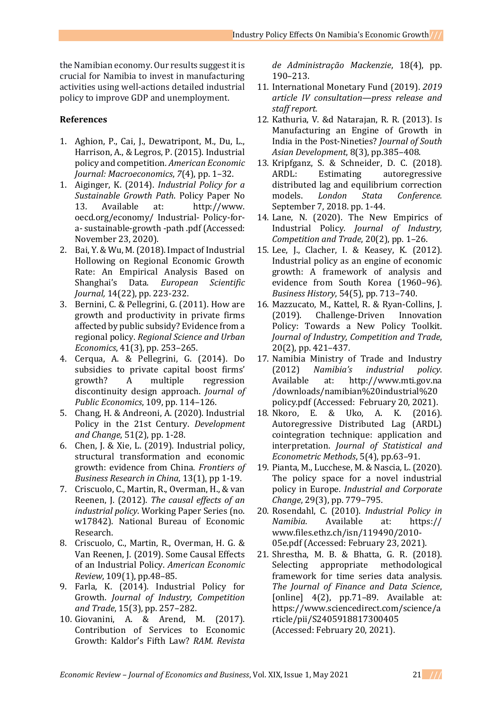the Namibian economy. Our results suggest it is crucial for Namibia to invest in manufacturing activities using well-actions detailed industrial policy to improve GDP and unemployment.

# **References**

- 1. Aghion, P., Cai, J., Dewatripont, M., Du, L., Harrison, A., & Legros, P. (2015). Industrial policy and competition*. American Economic Journal: Macroeconomics*, *7*(4), pp. 1–32.
- 1. Aiginger, K. (2014). *Industrial Policy for a Sustainable Growth Path*. Policy Paper No 13. Available at: http://www. oecd.org/economy/ Industrial- Policy-fora- sustainable-growth -path .pdf (Accessed: November 23, 2020).
- 2. Bai, Y. & Wu, M. (2018). Impact of Industrial Hollowing on Regional Economic Growth Rate: An Empirical Analysis Based on Shanghai's Data. *European Scientific Journal,* 14(22), pp. 223-232.
- 3. Bernini, C. & Pellegrini, G. (2011). How are growth and productivity in private firms affected by public subsidy? Evidence from a regional policy. *Regional Science and Urban Economics*, 41(3), pp. 253–265.
- 4. Cerqua, A. & Pellegrini, G. (2014). Do subsidies to private capital boost firms' growth? A multiple regression discontinuity design approach. *Journal of Public Economics*, 109, pp. 114–126.
- 5. Chang, H. & Andreoni, A. (2020). Industrial Policy in the 21st Century. *Development and Change*, 51(2), pp. 1-28.
- 6. Chen, J. & Xie, L. (2019). Industrial policy, structural transformation and economic growth: evidence from China. *Frontiers of Business Research in China*, 13(1), pp 1-19.
- 7. Criscuolo, C., Martin, R., Overman, H., & van Reenen, J. (2012). *The causal effects of an industrial policy*. Working Paper Series (no. w17842). National Bureau of Economic Research.
- 8. Criscuolo, C., Martin, R., Overman, H. G. & Van Reenen, J. (2019). Some Causal Effects of an Industrial Policy. *American Economic Review*, 109(1), pp.48–85.
- 9. Farla, K. (2014). Industrial Policy for Growth. *Journal of Industry, Competition and Trade*, 15(3), pp. 257–282.
- 10. Giovanini, A. & Arend, M. (2017). Contribution of Services to Economic Growth: Kaldor's Fifth Law? *RAM. Revista*

*de Administração Mackenzie*, 18(4), pp. 190–213.

- 11. International Monetary Fund (2019). *2019 article IV consultation—press release and staff report.*
- 12. Kathuria, V. &d Natarajan, R. R. (2013). Is Manufacturing an Engine of Growth in India in the Post-Nineties? *Journal of South Asian Development*, 8(3), pp.385–408.
- 13. Kripfganz, S. & Schneider, D. C. (2018). ARDL: Estimating autoregressive distributed lag and equilibrium correction models. *London Stata Conference.* September 7, 2018. pp. 1-44.
- 14. Lane, N. (2020). The New Empirics of Industrial Policy. *Journal of Industry, Competition and Trade*, 20(2), pp. 1–26.
- 15. Lee, J., Clacher, I. & Keasey, K. (2012). Industrial policy as an engine of economic growth: A framework of analysis and evidence from South Korea (1960–96). *Business History*, 54(5), pp. 713–740.
- 16. Mazzucato, M., Kattel, R. & Ryan-Collins, J. (2019). Challenge-Driven Innovation Policy: Towards a New Policy Toolkit. *Journal of Industry, Competition and Trade*, 20(2), pp. 421–437.
- 17. Namibia Ministry of Trade and Industry (2012) *Namibia's industrial policy*. Available at: http://www.mti.gov.na /downloads/namibian%20industrial%20 policy.pdf (Accessed: February 20, 2021).
- 18. Nkoro, E. & Uko, A. K. (2016). Autoregressive Distributed Lag (ARDL) cointegration technique: application and interpretation. *Journal of Statistical and Econometric Methods*, 5(4), pp.63–91.
- 19. Pianta, M., Lucchese, M. & Nascia, L. (2020). The policy space for a novel industrial policy in Europe. *Industrial and Corporate Change*, 29(3), pp. 779–795.
- 20. Rosendahl, C. (2010). *Industrial Policy in Namibia*. Available at: https:// www.files.ethz.ch/isn/119490/2010- 05e.pdf (Accessed: February 23, 2021).
- 21. Shrestha, M. B. & Bhatta, G. R. (2018). Selecting appropriate methodological framework for time series data analysis. *The Journal of Finance and Data Science*, [online] 4(2), pp.71–89. Available at: https://www.sciencedirect.com/science/a rticle/pii/S2405918817300405 (Accessed: February 20, 2021).